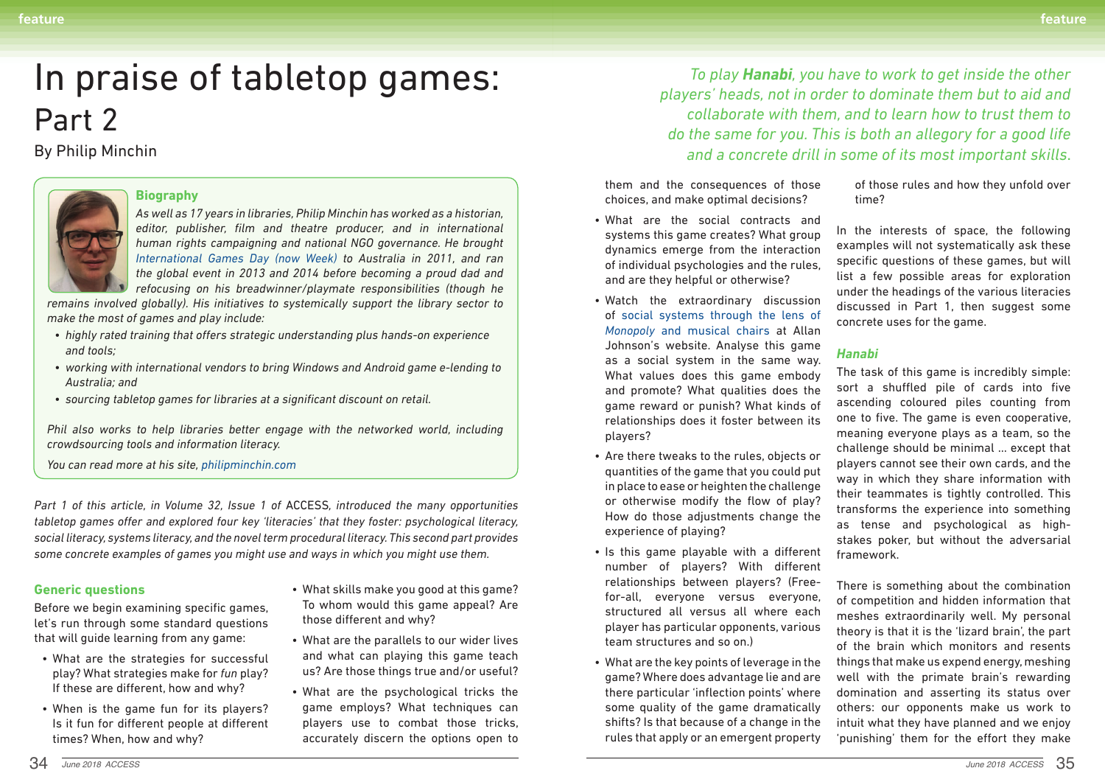### **Generic questions**

Before we begin examining specific games, let's run through some standard questions that will guide learning from any game:

- What are the strategies for successful play? What strategies make for *fun* play? If these are different, how and why?
- When is the game fun for its players? Is it fun for different people at different times? When, how and why?
- What skills make you good at this game? To whom would this game appeal? Are those different and why?
- What are the parallels to our wider lives and what can playing this game teach us? Are those things true and/or useful?
- What are the psychological tricks the game employs? What techniques can players use to combat those tricks, accurately discern the options open to

them and the consequences of those choices, and make optimal decisions?

- What are the social contracts and systems this game creates? What group dynamics emerge from the interaction of individual psychologies and the rules, and are they helpful or otherwise?
- Watch the extraordinary discussion of social systems through the lens of *Monopoly* and musical chairs at Allan Johnson's website. Analyse this game as a social system in the same way. What values does this game embody and promote? What qualities does the game reward or punish? What kinds of relationships does it foster between its players?
- Are there tweaks to the rules, objects or quantities of the game that you could put in place to ease or heighten the challenge or otherwise modify the flow of play? How do those adjustments change the experience of playing?
- Is this game playable with a different number of players? With different relationships between players? (Freefor-all, everyone versus everyone, structured all versus all where each player has particular opponents, various team structures and so on.)
- What are the key points of leverage in the game? Where does advantage lie and are there particular 'inflection points' where some quality of the game dramatically shifts? Is that because of a change in the rules that apply or an emergent property

of those rules and how they unfold over time?

In the interests of space, the following examples will not systematically ask these specific questions of these games, but will list a few possible areas for exploration under the headings of the various literacies discussed in Part 1, then suggest some concrete uses for the game.

*Phil also works to help libraries better engage with the networked world, including crowdsourcing tools and information literacy.*

#### *Hanabi*

The task of this game is incredibly simple: sort a shuffled pile of cards into five ascending coloured piles counting from one to five. The game is even cooperative, meaning everyone plays as a team, so the challenge should be minimal … except that players cannot see their own cards, and the way in which they share information with their teammates is tightly controlled. This transforms the experience into something as tense and psychological as highstakes poker, but without the adversarial framework.

There is something about the combination of competition and hidden information that meshes extraordinarily well. My personal theory is that it is the 'lizard brain', the part of the brain which monitors and resents things that make us expend energy, meshing well with the primate brain's rewarding domination and asserting its status over others: our opponents make us work to intuit what they have planned and we enjoy 'punishing' them for the effort they make

# In praise of tabletop games: Part 2

## By Philip Minchin



*To play Hanabi, you have to work to get inside the other players' heads, not in order to dominate them but to aid and collaborate with them, and to learn how to trust them to do the same for you. This is both an allegory for a good life and a concrete drill in some of its most important skills*.

#### **Biography**

*As well as 17 years in libraries, Philip Minchin has worked as a historian, editor, publisher, film and theatre producer, and in international human rights campaigning and national NGO governance. He brought International Games Day (now Week) to Australia in 2011, and ran the global event in 2013 and 2014 before becoming a proud dad and refocusing on his breadwinner/playmate responsibilities (though he* 

*remains involved globally). His initiatives to systemically support the library sector to make the most of games and play include:*

- *• highly rated training that offers strategic understanding plus hands-on experience and tools;*
- *• working with international vendors to bring Windows and Android game e-lending to Australia; and*
- *• sourcing tabletop games for libraries at a significant discount on retail.*

*You can read more at his site, philipminchin.com*

*Part 1 of this article, in Volume 32, Issue 1 of* ACCESS*, introduced the many opportunities tabletop games offer and explored four key 'literacies' that they foster: psychological literacy, social literacy, systems literacy, and the novel term procedural literacy. This second part provides some concrete examples of games you might use and ways in which you might use them.*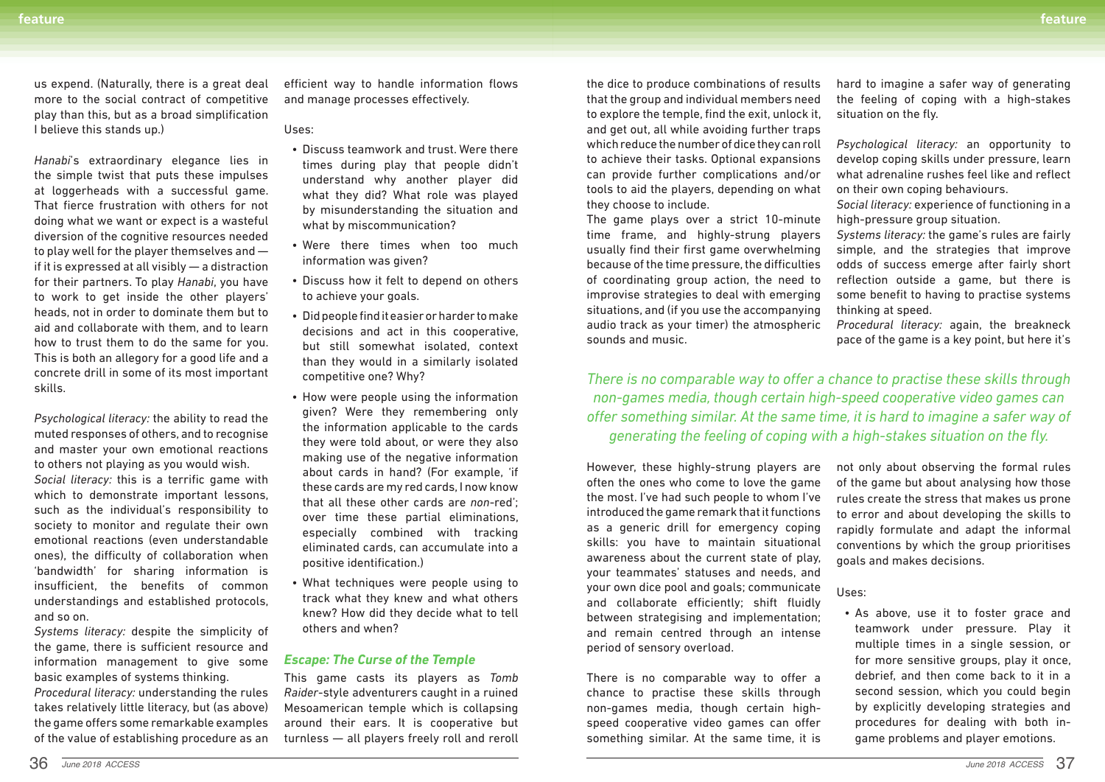us expend. (Naturally, there is a great deal more to the social contract of competitive play than this, but as a broad simplification I believe this stands up.)

*Hanabi*'s extraordinary elegance lies in the simple twist that puts these impulses at loggerheads with a successful game. That fierce frustration with others for not doing what we want or expect is a wasteful diversion of the cognitive resources needed to play well for the player themselves and if it is expressed at all visibly — a distraction for their partners. To play *Hanabi*, you have to work to get inside the other players' heads, not in order to dominate them but to aid and collaborate with them, and to learn how to trust them to do the same for you. This is both an allegory for a good life and a concrete drill in some of its most important skills.

*Psychological literacy:* the ability to read the muted responses of others, and to recognise and master your own emotional reactions to others not playing as you would wish.

*Social literacy:* this is a terrific game with which to demonstrate important lessons, such as the individual's responsibility to society to monitor and regulate their own emotional reactions (even understandable ones), the difficulty of collaboration when 'bandwidth' for sharing information is insufficient, the benefits of common understandings and established protocols, and so on.

*Systems literacy:* despite the simplicity of the game, there is sufficient resource and information management to give some basic examples of systems thinking.

*Procedural literacy:* understanding the rules takes relatively little literacy, but (as above) the game offers some remarkable examples of the value of establishing procedure as an efficient way to handle information flows and manage processes effectively.

Uses:

- Discuss teamwork and trust. Were there times during play that people didn't understand why another player did what they did? What role was played by misunderstanding the situation and what by miscommunication?
- Were there times when too much information was given?
- Discuss how it felt to depend on others to achieve your goals.
- Did people find it easier or harder to make decisions and act in this cooperative, but still somewhat isolated, context than they would in a similarly isolated competitive one? Why?
- How were people using the information given? Were they remembering only the information applicable to the cards they were told about, or were they also making use of the negative information about cards in hand? (For example, 'if these cards are my red cards, I now know that all these other cards are *non*-red'; over time these partial eliminations, especially combined with tracking eliminated cards, can accumulate into a positive identification.)
- What techniques were people using to track what they knew and what others knew? How did they decide what to tell others and when?

### *Escape: The Curse of the Temple*

This game casts its players as *Tomb Raider*-style adventurers caught in a ruined Mesoamerican temple which is collapsing around their ears. It is cooperative but turnless — all players freely roll and reroll

the dice to produce combinations of results that the group and individual members need to explore the temple, find the exit, unlock it, and get out, all while avoiding further traps which reduce the number of dice they can roll to achieve their tasks. Optional expansions can provide further complications and/or tools to aid the players, depending on what they choose to include.

hard to imagine a safer way of generating the feeling of coping with a high-stakes situation on the fly.

The game plays over a strict 10-minute time frame, and highly-strung players usually find their first game overwhelming because of the time pressure, the difficulties of coordinating group action, the need to improvise strategies to deal with emerging situations, and (if you use the accompanying audio track as your timer) the atmospheric sounds and music. high-pressure group situation. *Systems literacy:* the game's rules are fairly simple, and the strategies that improve odds of success emerge after fairly short reflection outside a game, but there is some benefit to having to practise systems thinking at speed. *Procedural literacy:* again, the breakneck pace of the game is a key point, but here it's

*Psychological literacy:* an opportunity to develop coping skills under pressure, learn what adrenaline rushes feel like and reflect on their own coping behaviours.

*Social literacy:* experience of functioning in a

*There is no comparable way to offer a chance to practise these skills through non-games media, though certain high-speed cooperative video games can offer something similar. At the same time, it is hard to imagine a safer way of generating the feeling of coping with a high-stakes situation on the fly.*

However, these highly-strung players are often the ones who come to love the game the most. I've had such people to whom I've introduced the game remark that it functions as a generic drill for emergency coping skills: you have to maintain situational awareness about the current state of play, your teammates' statuses and needs, and your own dice pool and goals; communicate and collaborate efficiently; shift fluidly between strategising and implementation; and remain centred through an intense period of sensory overload. not only about observing the formal rules of the game but about analysing how those rules create the stress that makes us prone to error and about developing the skills to rapidly formulate and adapt the informal conventions by which the group prioritises goals and makes decisions. Uses: • As above, use it to foster grace and multiple times in a single session, or

There is no comparable way to offer a chance to practise these skills through non-games media, though certain highspeed cooperative video games can offer something similar. At the same time, it is

teamwork under pressure. Play it for more sensitive groups, play it once, debrief, and then come back to it in a second session, which you could begin by explicitly developing strategies and procedures for dealing with both ingame problems and player emotions.